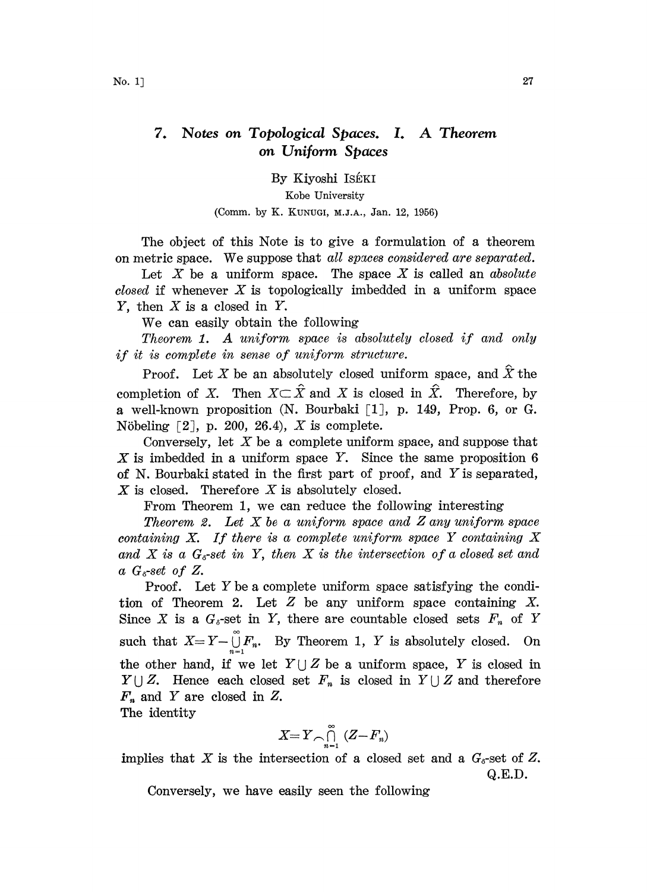## 7. Notes on Topological Spaces. I. A Theorem on Uniform Spaces

By Kiyoshi ISÉKI

Kobe University

(Comm. by K. KUNUGI, M.J.A., Jan. 12, 1956)

The object of this Note is to give a formulation of a theorem on metric space. We suppose that all spaces considered are separated.

Let  $X$  be a uniform space. The space  $X$  is called an *absolute closed* if whenever  $X$  is topologically imbedded in a uniform space  $Y$ , then  $X$  is a closed in  $Y$ .

We can easily obtain the following

Theorem 1. A uniform space is absolutely closed if and only if it is complete in sense of uniform structure.

Proof. Let X be an absolutely closed uniform space, and  $\hat{X}$  the completion of X. Then  $X \subset \hat{X}$  and X is closed in  $\hat{X}$ . Therefore, by a well-known proposition  $(N.$  Bourbaki  $\lceil 1 \rceil$ , p. 149, Prop. 6, or G. Nöbeling  $[2]$ , p. 200, 26.4), X is complete.

Conversely, let  $X$  be a complete uniform space, and suppose that  $X$  is imbedded in a uniform space Y. Since the same proposition 6 of N. Bourbaki stated in the first part of proof, and  $Y$  is separated,  $X$  is closed. Therefore  $X$  is absolutely closed.

From Theorem 1, we can reduce the following interesting

Theorem 2. Let  $X$  be a uniform space and  $Z$  any uniform space containing X. If there is <sup>a</sup> complete uniform space Y containing X and X is a  $G<sub>6</sub>$ -set in Y, then X is the intersection of a closed set and a  $G<sub>s</sub>$ -set of Z.

Proof. Let Y be <sup>a</sup> complete uniform space satisfying the condition of Theorem 2. Let  $Z$  be any uniform space containing  $X$ . Since X is a  $G_{\delta}$ -set in Y, there are countable closed sets  $F_n$  of Y such that  $X = Y - \bigcup_{n=1}^{\infty} F_n$ . By Theorem 1, Y is absolutely closed. On the other hand, if we let  $Y \cup Z$  be a uniform space, Y is closed in  $Y \cup Z$ . Hence each closed set  $F_n$  is closed in  $Y \cup Z$  and therefore  $F_n$  and Y are closed in Z.

The identity

$$
X = Y \cap \bigcap_{n=1}^{\infty} (Z - F_n)
$$

implies that X is the intersection of a closed set and a  $G_{\delta}$ -set of Z. Q.E.D.

Conversely, we have easily seen the following